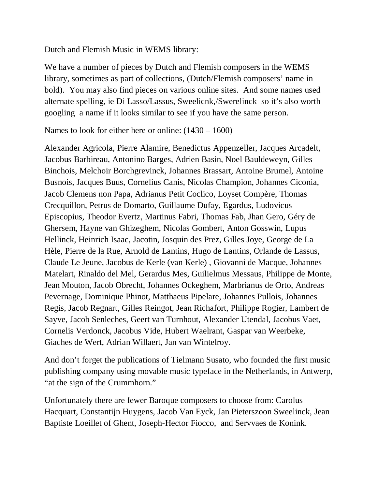Dutch and Flemish Music in WEMS library:

We have a number of pieces by Dutch and Flemish composers in the WEMS library, sometimes as part of collections, (Dutch/Flemish composers' name in bold). You may also find pieces on various online sites. And some names used alternate spelling, ie Di Lasso/Lassus, Sweelicnk,/Swerelinck so it's also worth googling a name if it looks similar to see if you have the same person.

Names to look for either here or online: (1430 – 1600)

Alexander Agricola, Pierre Alamire, Benedictus Appenzeller, Jacques Arcadelt, Jacobus Barbireau, Antonino Barges, Adrien Basin, Noel Bauldeweyn, Gilles Binchois, Melchoir Borchgrevinck, Johannes Brassart, Antoine Brumel, Antoine Busnois, Jacques Buus, Cornelius Canis, Nicolas Champion, Johannes Ciconia, Jacob Clemens non Papa, Adrianus Petit Coclico, Loyset Compère, Thomas Crecquillon, Petrus de Domarto, Guillaume Dufay, Egardus, Ludovicus Episcopius, Theodor Evertz, Martinus Fabri, Thomas Fab, Jhan Gero, Géry de Ghersem, Hayne van Ghizeghem, Nicolas Gombert, Anton Gosswin, Lupus Hellinck, Heinrich Isaac, Jacotin, Josquin des Prez, Gilles Joye, George de La Hèle, Pierre de la Rue, Arnold de Lantins, Hugo de Lantins, Orlande de Lassus, Claude Le Jeune, Jacobus de Kerle (van Kerle) , Giovanni de Macque, Johannes Matelart, Rinaldo del Mel, Gerardus Mes, Guilielmus Messaus, Philippe de Monte, Jean Mouton, Jacob Obrecht, Johannes Ockeghem, Marbrianus de Orto, Andreas Pevernage, Dominique Phinot, Matthaeus Pipelare, Johannes Pullois, Johannes Regis, Jacob Regnart, Gilles Reingot, Jean Richafort, Philippe Rogier, Lambert de Sayve, Jacob Senleches, Geert van Turnhout, Alexander Utendal, Jacobus Vaet, Cornelis Verdonck, Jacobus Vide, Hubert Waelrant, Gaspar van Weerbeke, Giaches de Wert, Adrian Willaert, Jan van Wintelroy.

And don't forget the publications of Tielmann Susato, who founded the first music publishing company using movable music typeface in the Netherlands, in Antwerp, "at the sign of the Crummhorn."

Unfortunately there are fewer Baroque composers to choose from: Carolus Hacquart, Constantijn Huygens, Jacob Van Eyck, Jan Pieterszoon Sweelinck, Jean Baptiste Loeillet of Ghent, Joseph-Hector Fiocco, and Servvaes de Konink.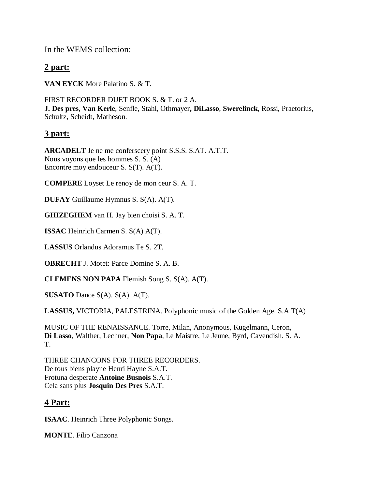In the WEMS collection:

# **2 part:**

**VAN EYCK** More Palatino S. & T.

FIRST RECORDER DUET BOOK S. & T. or 2 A. **J. Des pres**, **Van Kerle**, Senfle, Stahl, Othmayer**, DiLasso**, **Swerelinck**, Rossi, Praetorius, Schultz, Scheidt, Matheson.

# **3 part:**

**ARCADELT** Je ne me conferscery point S.S.S. S.AT. A.T.T. Nous voyons que les hommes S. S. (A) Encontre moy endouceur S. S(T). A(T).

**COMPERE** Loyset Le renoy de mon ceur S. A. T.

**DUFAY** Guillaume Hymnus S. S(A). A(T).

**GHIZEGHEM** van H. Jay bien choisi S. A. T.

**ISSAC** Heinrich Carmen S. S(A) A(T).

**LASSUS** Orlandus Adoramus Te S. 2T.

**OBRECHT** J. Motet: Parce Domine S. A. B.

**CLEMENS NON PAPA** Flemish Song S. S(A). A(T).

**SUSATO** Dance S(A). S(A). A(T).

**LASSUS,** VICTORIA, PALESTRINA. Polyphonic music of the Golden Age. S.A.T(A)

MUSIC OF THE RENAISSANCE. Torre, Milan, Anonymous, Kugelmann, Ceron, **Di Lasso**, Walther, Lechner, **Non Papa**, Le Maistre, Le Jeune, Byrd, Cavendish. S. A. T.

THREE CHANCONS FOR THREE RECORDERS. De tous biens playne Henri Hayne S.A.T. Frotuna desperate **Antoine Busnois** S.A.T. Cela sans plus **Josquin Des Pres** S.A.T.

# **4 Part:**

**ISAAC**. Heinrich Three Polyphonic Songs.

**MONTE**. Filip Canzona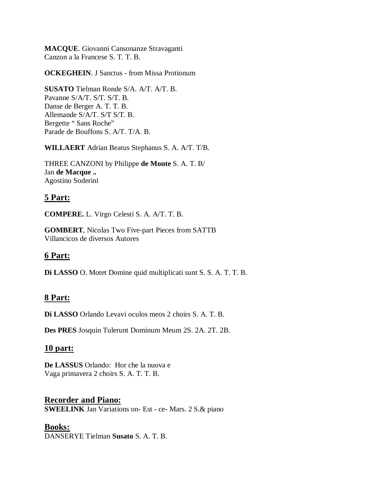**MACQUE**. Giovanni Cansonanze Stravaganti Canzon a la Francese S. T. T. B.

**OCKEGHEIN**. J Sanctus - from Missa Protionum

**SUSATO** Tielman Ronde S/A. A/T. A/T. B. Pavanne S/A/T. S/T. S/T. B. Danse de Berger A. T. T. B. Allemande S/A/T. S/T S/T. B. Bergette " Sans Roche" Parade de Bouffons S. A/T. T/A. B.

**WILLAERT** Adrian Beatus Stephanus S. A. A/T. T/B.

THREE CANZONI by Philippe **de Monte** S. A. T. B/ Jan **de Macque ..** Agostino Soderini

# **5 Part:**

**COMPERE.** L. Virgo Celesti S. A. A/T. T. B.

**GOMBERT**, Nicolas Two Five-part Pieces from SATTB Villancicos de diversos Autores

# **6 Part:**

**Di LASSO** O. Motet Domine quid multiplicati sunt S. S. A. T. T. B.

### **8 Part:**

**Di LASSO** Orlando Levavi oculos meos 2 choirs S. A. T. B.

**Des PRES** Josquin Tulerunt Dominum Meum 2S. 2A. 2T. 2B.

### **10 part:**

**De LASSUS** Orlando: Hor che la nuova e Vaga primavera 2 choirs S. A. T. T. B.

### **Recorder and Piano:**

**SWEELINK** Jan Variations on- Est - ce- Mars. 2 S.& piano

### **Books:**

DANSERYE Tielman **Susato** S. A. T. B.